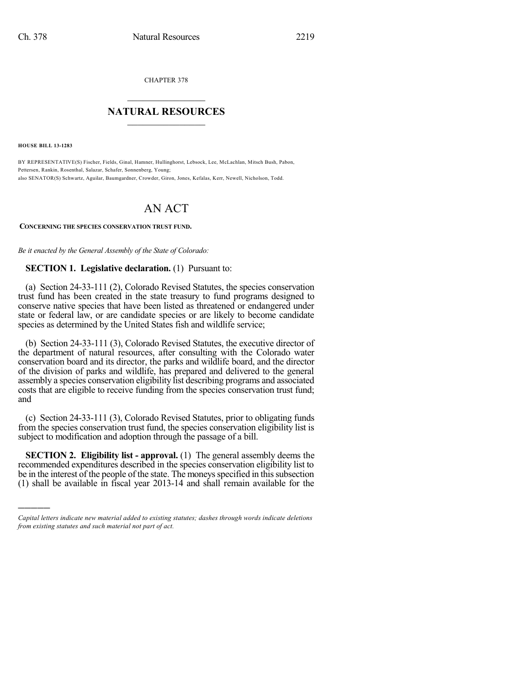CHAPTER 378

## $\overline{\phantom{a}}$  . The set of the set of the set of the set of the set of the set of the set of the set of the set of the set of the set of the set of the set of the set of the set of the set of the set of the set of the set o **NATURAL RESOURCES**  $\frac{1}{\sqrt{2}}$  , where  $\frac{1}{\sqrt{2}}$  ,  $\frac{1}{\sqrt{2}}$  ,  $\frac{1}{\sqrt{2}}$

**HOUSE BILL 13-1283**

)))))

BY REPRESENTATIVE(S) Fischer, Fields, Ginal, Hamner, Hullinghorst, Lebsock, Lee, McLachlan, Mitsch Bush, Pabon, Pettersen, Rankin, Rosenthal, Salazar, Schafer, Sonnenberg, Young; also SENATOR(S) Schwartz, Aguilar, Baumgardner, Crowder, Giron, Jones, Kefalas, Kerr, Newell, Nicholson, Todd.

## AN ACT

## **CONCERNING THE SPECIES CONSERVATION TRUST FUND.**

*Be it enacted by the General Assembly of the State of Colorado:*

## **SECTION 1. Legislative declaration.** (1) Pursuant to:

(a) Section 24-33-111 (2), Colorado Revised Statutes, the species conservation trust fund has been created in the state treasury to fund programs designed to conserve native species that have been listed as threatened or endangered under state or federal law, or are candidate species or are likely to become candidate species as determined by the United States fish and wildlife service;

(b) Section 24-33-111 (3), Colorado Revised Statutes, the executive director of the department of natural resources, after consulting with the Colorado water conservation board and its director, the parks and wildlife board, and the director of the division of parks and wildlife, has prepared and delivered to the general assembly a species conservation eligibility list describing programs and associated costs that are eligible to receive funding from the species conservation trust fund; and

(c) Section 24-33-111 (3), Colorado Revised Statutes, prior to obligating funds from the species conservation trust fund, the species conservation eligibility list is subject to modification and adoption through the passage of a bill.

**SECTION 2. Eligibility list - approval.** (1) The general assembly deems the recommended expenditures described in the species conservation eligibility list to be in the interest of the people of the state. The moneys specified in this subsection (1) shall be available in fiscal year 2013-14 and shall remain available for the

*Capital letters indicate new material added to existing statutes; dashes through words indicate deletions from existing statutes and such material not part of act.*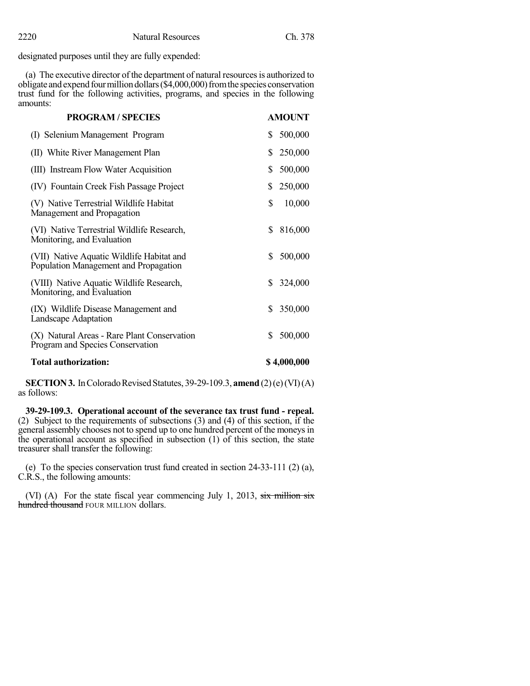designated purposes until they are fully expended:

(a) The executive director of the department of natural resourcesis authorized to obligate and expend four million dollars (\$4,000,000) from the species conservation trust fund for the following activities, programs, and species in the following amounts:

| <b>PROGRAM / SPECIES</b>                    | <b>AMOUNT</b> |
|---------------------------------------------|---------------|
| (I) Selenium Management Program             | 500,000<br>S. |
| (II) White River Management Plan            | \$<br>250,000 |
| (III) Instream Flow Water Acquisition       | 500,000<br>S  |
| (IV) Fountain Creek Fish Passage Project    | \$<br>250,000 |
| (V) Native Terrestrial Wildlife Habitat     | \$            |
| Management and Propagation                  | 10,000        |
| (VI) Native Terrestrial Wildlife Research,  | \$            |
| Monitoring, and Evaluation                  | 816,000       |
| (VII) Native Aquatic Wildlife Habitat and   | 500,000       |
| Population Management and Propagation       | \$            |
| (VIII) Native Aquatic Wildlife Research,    | S.            |
| Monitoring, and Evaluation                  | 324,000       |
| (IX) Wildlife Disease Management and        | 350,000       |
| Landscape Adaptation                        | S.            |
| (X) Natural Areas - Rare Plant Conservation | 500,000       |
| Program and Species Conservation            | \$            |
| <b>Total authorization:</b>                 | \$4,000,000   |

**SECTION 3.** In Colorado Revised Statutes, 39-29-109.3, **amend** (2)(e)(VI)(A) as follows:

**39-29-109.3. Operational account of the severance tax trust fund - repeal.** (2) Subject to the requirements of subsections (3) and (4) of this section, if the general assembly chooses not to spend up to one hundred percent of the moneys in the operational account as specified in subsection (1) of this section, the state treasurer shall transfer the following:

(e) To the species conservation trust fund created in section 24-33-111 (2) (a), C.R.S., the following amounts:

(VI) (A) For the state fiscal year commencing July 1, 2013, six million six hundred thousand FOUR MILLION dollars.